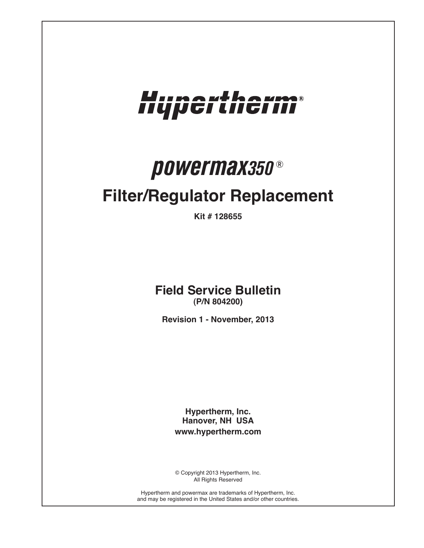

# *powermax350* ®

## **Filter/Regulator Replacement**

**Kit # 128655**

**Field Service Bulletin (P/N 804200)**

**Revision 1 - November, 2013**

**Hypertherm, Inc. Hanover, NH USA www.hypertherm.com**

© Copyright 2013 Hypertherm, Inc. All Rights Reserved

Hypertherm and powermax are trademarks of Hypertherm, Inc. and may be registered in the United States and/or other countries.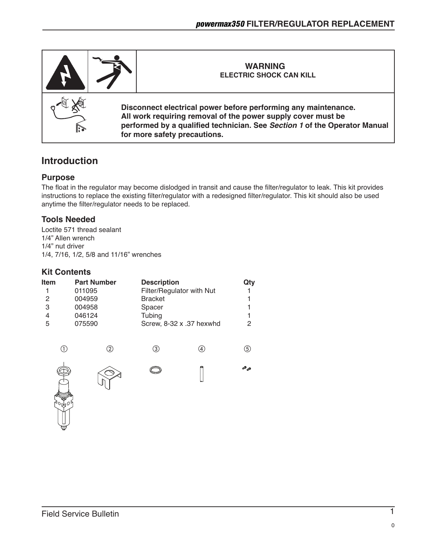

### **Introduction**

#### **Purpose**

The float in the regulator may become dislodged in transit and cause the filter/regulator to leak. This kit provides instructions to replace the existing filter/regulator with a redesigned filter/regulator. This kit should also be used anytime the filter/regulator needs to be replaced.

#### **Tools Needed**

Loctite 571 thread sealant 1/4" Allen wrench 1/4" nut driver 1/4, 7/16, 1/2, 5/8 and 11/16" wrenches

#### **Kit Contents**

| Item | <b>Part Number</b> | <b>Description</b>        | Qty |
|------|--------------------|---------------------------|-----|
|      | 011095             | Filter/Regulator with Nut |     |
| 2    | 004959             | <b>Bracket</b>            |     |
| 3    | 004958             | Spacer                    |     |
| 4    | 046124             | Tubing                    |     |
| 5    | 075590             | Screw, 8-32 x .37 hexwhd  | 2   |
|      |                    |                           |     |

 $(1)$ 



 $\textcircled{2}$   $\textcircled{3}$   $\textcircled{4}$   $\textcircled{5}$ 

**OP** OP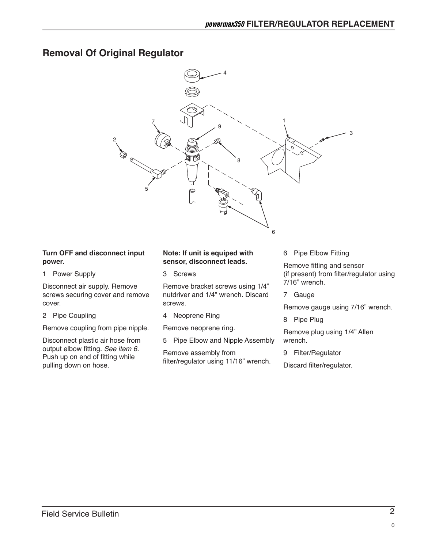## **Removal Of Original Regulator**



#### **Turn OFF and disconnect input power.**

1 Power Supply

Disconnect air supply. Remove screws securing cover and remove cover.

2 Pipe Coupling

Remove coupling from pipe nipple.

Disconnect plastic air hose from output elbow fitting. *See item 6.* Push up on end of fitting while pulling down on hose.

#### **Note: If unit is equiped with sensor, disconnect leads.**

3 Screws

Remove bracket screws using 1/4" nutdriver and 1/4" wrench. Discard screws.

4 Neoprene Ring

Remove neoprene ring.

5 Pipe Elbow and Nipple Assembly

Remove assembly from filter/regulator using 11/16" wrench. 6 Pipe Elbow Fitting

Remove fitting and sensor (if present) from filter/regulator using 7/16" wrench.

7 Gauge

Remove gauge using 7/16" wrench.

8 Pipe Plug

Remove plug using 1/4" Allen wrench.

9 Filter/Regulator

Discard filter/regulator.